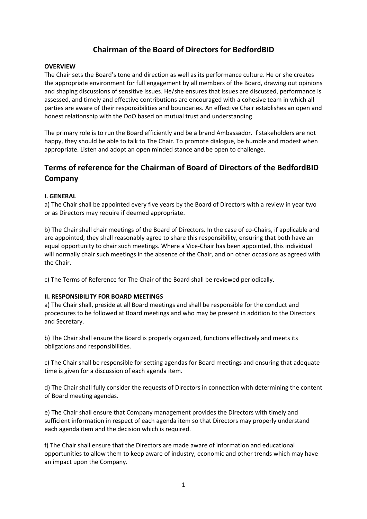# Chairman of the Board of Directors for BedfordBID

### **OVERVIEW**

The Chair sets the Board's tone and direction as well as its performance culture. He or she creates the appropriate environment for full engagement by all members of the Board, drawing out opinions and shaping discussions of sensitive issues. He/she ensures that issues are discussed, performance is assessed, and timely and effective contributions are encouraged with a cohesive team in which all parties are aware of their responsibilities and boundaries. An effective Chair establishes an open and honest relationship with the DoO based on mutual trust and understanding.

The primary role is to run the Board efficiently and be a brand Ambassador. f stakeholders are not happy, they should be able to talk to The Chair. To promote dialogue, be humble and modest when appropriate. Listen and adopt an open minded stance and be open to challenge.

# Terms of reference for the Chairman of Board of Directors of the BedfordBID Company

## I. GENERAL

a) The Chair shall be appointed every five years by the Board of Directors with a review in year two or as Directors may require if deemed appropriate.

b) The Chair shall chair meetings of the Board of Directors. In the case of co-Chairs, if applicable and are appointed, they shall reasonably agree to share this responsibility, ensuring that both have an equal opportunity to chair such meetings. Where a Vice-Chair has been appointed, this individual will normally chair such meetings in the absence of the Chair, and on other occasions as agreed with the Chair.

c) The Terms of Reference for The Chair of the Board shall be reviewed periodically.

#### II. RESPONSIBILITY FOR BOARD MEETINGS

a) The Chair shall, preside at all Board meetings and shall be responsible for the conduct and procedures to be followed at Board meetings and who may be present in addition to the Directors and Secretary.

b) The Chair shall ensure the Board is properly organized, functions effectively and meets its obligations and responsibilities.

c) The Chair shall be responsible for setting agendas for Board meetings and ensuring that adequate time is given for a discussion of each agenda item.

d) The Chair shall fully consider the requests of Directors in connection with determining the content of Board meeting agendas.

e) The Chair shall ensure that Company management provides the Directors with timely and sufficient information in respect of each agenda item so that Directors may properly understand each agenda item and the decision which is required.

f) The Chair shall ensure that the Directors are made aware of information and educational opportunities to allow them to keep aware of industry, economic and other trends which may have an impact upon the Company.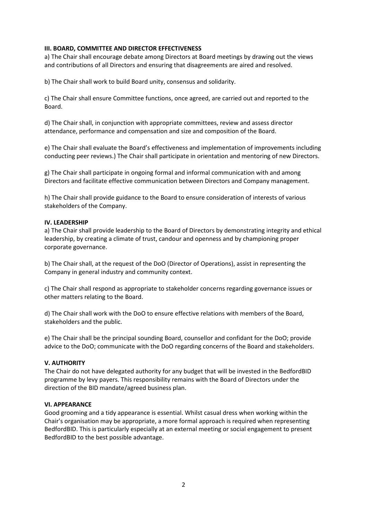### III. BOARD, COMMITTEE AND DIRECTOR EFFECTIVENESS

a) The Chair shall encourage debate among Directors at Board meetings by drawing out the views and contributions of all Directors and ensuring that disagreements are aired and resolved.

b) The Chair shall work to build Board unity, consensus and solidarity.

c) The Chair shall ensure Committee functions, once agreed, are carried out and reported to the Board.

d) The Chair shall, in conjunction with appropriate committees, review and assess director attendance, performance and compensation and size and composition of the Board.

e) The Chair shall evaluate the Board's effectiveness and implementation of improvements including conducting peer reviews.) The Chair shall participate in orientation and mentoring of new Directors.

g) The Chair shall participate in ongoing formal and informal communication with and among Directors and facilitate effective communication between Directors and Company management.

h) The Chair shall provide guidance to the Board to ensure consideration of interests of various stakeholders of the Company.

#### IV. LEADERSHIP

a) The Chair shall provide leadership to the Board of Directors by demonstrating integrity and ethical leadership, by creating a climate of trust, candour and openness and by championing proper corporate governance.

b) The Chair shall, at the request of the DoO (Director of Operations), assist in representing the Company in general industry and community context.

c) The Chair shall respond as appropriate to stakeholder concerns regarding governance issues or other matters relating to the Board.

d) The Chair shall work with the DoO to ensure effective relations with members of the Board, stakeholders and the public.

e) The Chair shall be the principal sounding Board, counsellor and confidant for the DoO; provide advice to the DoO; communicate with the DoO regarding concerns of the Board and stakeholders.

#### V. AUTHORITY

The Chair do not have delegated authority for any budget that will be invested in the BedfordBID programme by levy payers. This responsibility remains with the Board of Directors under the direction of the BID mandate/agreed business plan.

#### VI. APPEARANCE

Good grooming and a tidy appearance is essential. Whilst casual dress when working within the Chair's organisation may be appropriate, a more formal approach is required when representing BedfordBID. This is particularly especially at an external meeting or social engagement to present BedfordBID to the best possible advantage.